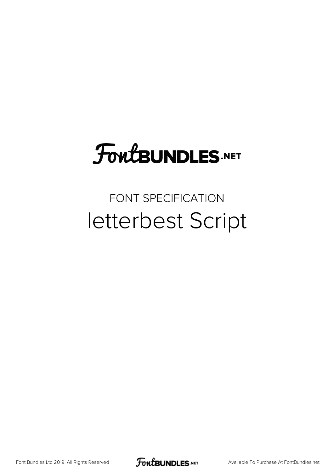# **FoutBUNDLES.NET**

### FONT SPECIFICATION letterbest Script

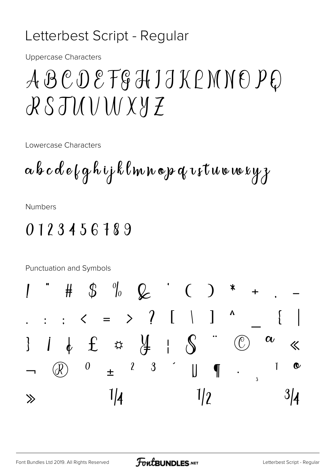#### Letterbest Script - Regular

**Uppercase Characters** 

## ABCDEFGHJJKPMNOPQ RSJUUWXYZ

Lowercase Characters

**Numbers** 

#### 0123456189

Punctuation and Symbols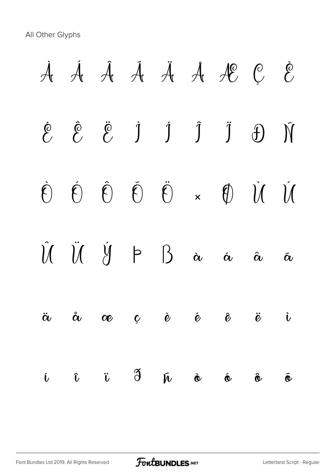All Other Glyphs

À Á Â Ã Ä Å Æ Ç È  $\begin{array}{ccccccccccccccccc}\n\hat{e} & \hat{e} & \ddot{e} & \dot{1} & \dot{1} & \dot{1} & \ddot{1} & \dot{0}\n\end{array}$ Ò Ó Ô Õ Ö × Ø Ù Ú  $\hat{U}$   $\hat{U}$   $\hat{V}$   $\uparrow$   $\uparrow$   $\uparrow$   $\uparrow$   $\uparrow$   $\uparrow$   $\downarrow$   $\uparrow$   $\downarrow$   $\downarrow$   $\downarrow$   $\downarrow$   $\downarrow$   $\downarrow$   $\downarrow$   $\downarrow$   $\downarrow$   $\downarrow$   $\downarrow$   $\downarrow$   $\downarrow$   $\downarrow$   $\downarrow$   $\downarrow$   $\downarrow$   $\downarrow$   $\downarrow$   $\downarrow$   $\downarrow$   $\downarrow$   $\downarrow$   $\downarrow$   $\downarrow$ ä å æ ç è é ê ë ì í î ï ð ñ ò ó ô õ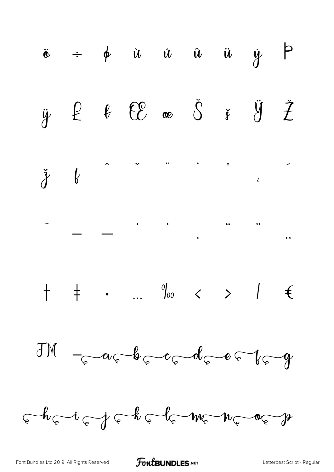

FontBUNDLES.NET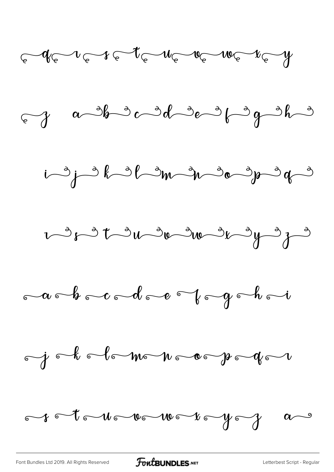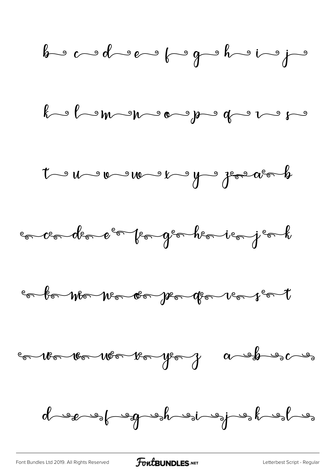![](_page_5_Figure_0.jpeg)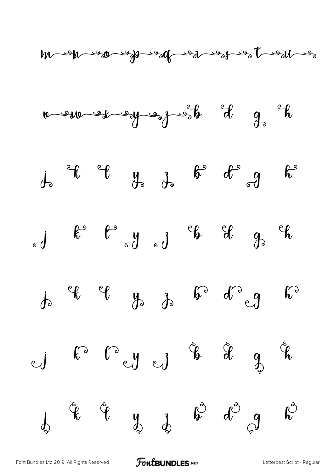![](_page_6_Figure_0.jpeg)

![](_page_6_Figure_1.jpeg)

$$
j_{0}
$$
  $j_{0}$   $j_{0}$   $j_{0}$   $k^{0}$   $d^{0}$   $g$   $k^{0}$ 

$$
\mathbf{d} \qquad \mathbf{k}^{\circ} \qquad \mathbf{l}^{\circ} \qquad \mathbf{d} \qquad \mathbf{d} \qquad \mathbf{d} \qquad \mathbf{d} \qquad \mathbf{d} \qquad \mathbf{d} \qquad \mathbf{d} \qquad \mathbf{d} \qquad \mathbf{d}
$$

$$
i^{*}
$$

$$
\begin{array}{ccccccc}\n\mathbf{1} & \mathbf{1} & \mathbf{1} & \mathbf{1} & \mathbf{1} & \mathbf{1} & \mathbf{1} & \mathbf{1} & \mathbf{1} & \mathbf{1} & \mathbf{1} & \mathbf{1} & \mathbf{1} & \mathbf{1} & \mathbf{1} & \mathbf{1} & \mathbf{1} & \mathbf{1} & \mathbf{1} & \mathbf{1} & \mathbf{1} & \mathbf{1} & \mathbf{1} & \mathbf{1} & \mathbf{1} & \mathbf{1} & \mathbf{1} & \mathbf{1} & \mathbf{1} & \mathbf{1} & \mathbf{1} & \mathbf{1} & \mathbf{1} & \mathbf{1} & \mathbf{1} & \mathbf{1} & \mathbf{1} & \mathbf{1} & \mathbf{1} & \mathbf{1} & \mathbf{1} & \mathbf{1} & \mathbf{1} & \mathbf{1} & \mathbf{1} & \mathbf{1} & \mathbf{1} & \mathbf{1} & \mathbf{1} & \mathbf{1} & \mathbf{1} & \mathbf{1} & \mathbf{1} & \mathbf{1} & \mathbf{1} & \mathbf{1} & \mathbf{1} & \mathbf{1} & \mathbf{1} & \mathbf{1} & \mathbf{1} & \mathbf{1} & \mathbf{1} & \mathbf{1} & \mathbf{1} & \mathbf{1} & \mathbf{1} & \mathbf{1} & \mathbf{1} & \mathbf{1} & \mathbf{1} & \mathbf{1} & \mathbf{1} & \mathbf{1} & \mathbf{1} & \mathbf{1} & \mathbf{1} & \mathbf{1} & \mathbf{1} & \mathbf{1} & \mathbf{1} & \mathbf{1} & \mathbf{1} & \mathbf{1} & \mathbf{1} & \mathbf{1} & \mathbf{1} & \mathbf{1} & \mathbf{1} & \mathbf{1} & \mathbf{1} & \mathbf{1} & \mathbf{1} & \mathbf{1} & \mathbf{1} & \mathbf{1} & \mathbf{1} & \mathbf{1} & \mathbf{1} & \mathbf{1} & \mathbf{1} & \mathbf{1} & \mathbf{1} & \mathbf{1} & \mathbf{1} & \mathbf{1} & \mathbf{1} & \math
$$

[Font Bundles Ltd 2019. All Rights Reserved](https://fontbundles.net/) **FoutBUNDLES.NET** [Letterbest Script - Regular](https://fontbundles.net/)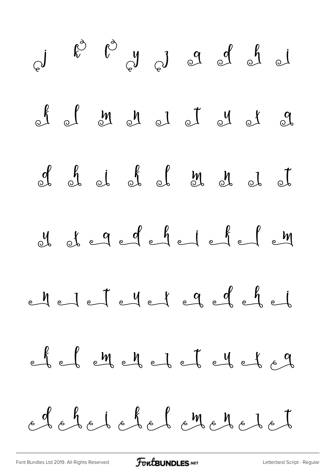![](_page_7_Figure_0.jpeg)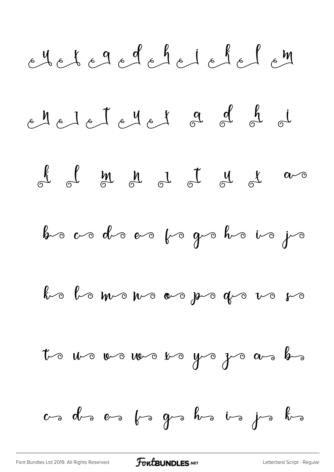![](_page_8_Figure_0.jpeg)

[Font Bundles Ltd 2019. All Rights Reserved](https://fontbundles.net/) **FoutBUNDLES.NET** [Letterbest Script - Regular](https://fontbundles.net/)